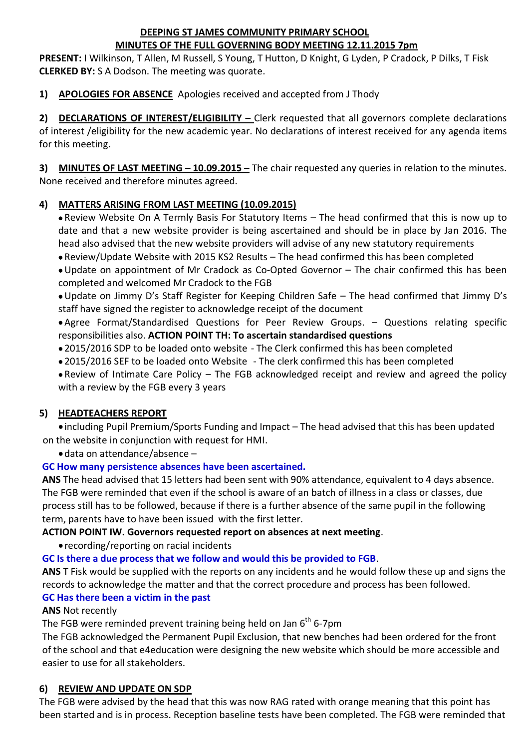#### **DEEPING ST JAMES COMMUNITY PRIMARY SCHOOL MINUTES OF THE FULL GOVERNING BODY MEETING 12.11.2015 7pm**

**PRESENT:** I Wilkinson, T Allen, M Russell, S Young, T Hutton, D Knight, G Lyden, P Cradock, P Dilks, T Fisk **CLERKED BY:** S A Dodson. The meeting was quorate.

**1) APOLOGIES FOR ABSENCE** Apologies received and accepted from J Thody

**2) DECLARATIONS OF INTEREST/ELIGIBILITY –** Clerk requested that all governors complete declarations of interest /eligibility for the new academic year. No declarations of interest received for any agenda items for this meeting.

**3) MINUTES OF LAST MEETING – 10.09.2015 –** The chair requested any queries in relation to the minutes. None received and therefore minutes agreed.

# **4) MATTERS ARISING FROM LAST MEETING (10.09.2015)**

 Review Website On A Termly Basis For Statutory Items – The head confirmed that this is now up to date and that a new website provider is being ascertained and should be in place by Jan 2016. The head also advised that the new website providers will advise of any new statutory requirements

Review/Update Website with 2015 KS2 Results – The head confirmed this has been completed

Update on appointment of Mr Cradock as Co-Opted Governor – The chair confirmed this has been completed and welcomed Mr Cradock to the FGB

Update on Jimmy D's Staff Register for Keeping Children Safe – The head confirmed that Jimmy D's staff have signed the register to acknowledge receipt of the document

 Agree Format/Standardised Questions for Peer Review Groups. – Questions relating specific responsibilities also. **ACTION POINT TH: To ascertain standardised questions**

2015/2016 SDP to be loaded onto website - The Clerk confirmed this has been completed

2015/2016 SEF to be loaded onto Website - The clerk confirmed this has been completed

 Review of Intimate Care Policy – The FGB acknowledged receipt and review and agreed the policy with a review by the FGB every 3 years

# **5) HEADTEACHERS REPORT**

 including Pupil Premium/Sports Funding and Impact – The head advised that this has been updated on the website in conjunction with request for HMI.

data on attendance/absence –

# **GC How many persistence absences have been ascertained.**

**ANS** The head advised that 15 letters had been sent with 90% attendance, equivalent to 4 days absence. The FGB were reminded that even if the school is aware of an batch of illness in a class or classes, due process still has to be followed, because if there is a further absence of the same pupil in the following term, parents have to have been issued with the first letter.

## **ACTION POINT IW. Governors requested report on absences at next meeting**.

recording/reporting on racial incidents

**GC Is there a due process that we follow and would this be provided to FGB**.

**ANS** T Fisk would be supplied with the reports on any incidents and he would follow these up and signs the records to acknowledge the matter and that the correct procedure and process has been followed. **GC Has there been a victim in the past**

## **ANS** Not recently

The FGB were reminded prevent training being held on Jan  $6<sup>th</sup>$  6-7pm

The FGB acknowledged the Permanent Pupil Exclusion, that new benches had been ordered for the front of the school and that e4education were designing the new website which should be more accessible and easier to use for all stakeholders.

## **6) REVIEW AND UPDATE ON SDP**

The FGB were advised by the head that this was now RAG rated with orange meaning that this point has been started and is in process. Reception baseline tests have been completed. The FGB were reminded that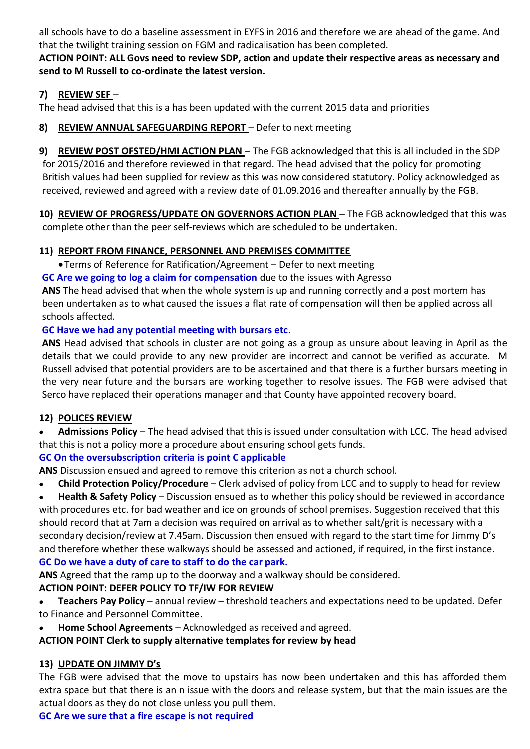all schools have to do a baseline assessment in EYFS in 2016 and therefore we are ahead of the game. And that the twilight training session on FGM and radicalisation has been completed.

**ACTION POINT: ALL Govs need to review SDP, action and update their respective areas as necessary and send to M Russell to co-ordinate the latest version.**

#### **7) REVIEW SEF** –

The head advised that this is a has been updated with the current 2015 data and priorities

**8) REVIEW ANNUAL SAFEGUARDING REPORT** – Defer to next meeting

**9) REVIEW POST OFSTED/HMI ACTION PLAN** – The FGB acknowledged that this is all included in the SDP for 2015/2016 and therefore reviewed in that regard. The head advised that the policy for promoting British values had been supplied for review as this was now considered statutory. Policy acknowledged as received, reviewed and agreed with a review date of 01.09.2016 and thereafter annually by the FGB.

**10) REVIEW OF PROGRESS/UPDATE ON GOVERNORS ACTION PLAN** – The FGB acknowledged that this was complete other than the peer self-reviews which are scheduled to be undertaken.

## **11) REPORT FROM FINANCE, PERSONNEL AND PREMISES COMMITTEE**

Terms of Reference for Ratification/Agreement – Defer to next meeting

**GC Are we going to log a claim for compensation** due to the issues with Agresso

**ANS** The head advised that when the whole system is up and running correctly and a post mortem has been undertaken as to what caused the issues a flat rate of compensation will then be applied across all schools affected.

## **GC Have we had any potential meeting with bursars etc**.

**ANS** Head advised that schools in cluster are not going as a group as unsure about leaving in April as the details that we could provide to any new provider are incorrect and cannot be verified as accurate. M Russell advised that potential providers are to be ascertained and that there is a further bursars meeting in the very near future and the bursars are working together to resolve issues. The FGB were advised that Serco have replaced their operations manager and that County have appointed recovery board.

## **12) POLICES REVIEW**

 **Admissions Policy** – The head advised that this is issued under consultation with LCC. The head advised that this is not a policy more a procedure about ensuring school gets funds.

## **GC On the oversubscription criteria is point C applicable**

**ANS** Discussion ensued and agreed to remove this criterion as not a church school.

**Child Protection Policy/Procedure** – Clerk advised of policy from LCC and to supply to head for review

 **Health & Safety Policy** – Discussion ensued as to whether this policy should be reviewed in accordance with procedures etc. for bad weather and ice on grounds of school premises. Suggestion received that this should record that at 7am a decision was required on arrival as to whether salt/grit is necessary with a secondary decision/review at 7.45am. Discussion then ensued with regard to the start time for Jimmy D's and therefore whether these walkways should be assessed and actioned, if required, in the first instance. **GC Do we have a duty of care to staff to do the car park.**

**ANS** Agreed that the ramp up to the doorway and a walkway should be considered.

## **ACTION POINT: DEFER POLICY TO TF/IW FOR REVIEW**

- **Teachers Pay Policy** annual review threshold teachers and expectations need to be updated. Defer to Finance and Personnel Committee.
- **Home School Agreements** Acknowledged as received and agreed.

**ACTION POINT Clerk to supply alternative templates for review by head**

## **13) UPDATE ON JIMMY D's**

The FGB were advised that the move to upstairs has now been undertaken and this has afforded them extra space but that there is an n issue with the doors and release system, but that the main issues are the actual doors as they do not close unless you pull them.

## **GC Are we sure that a fire escape is not required**